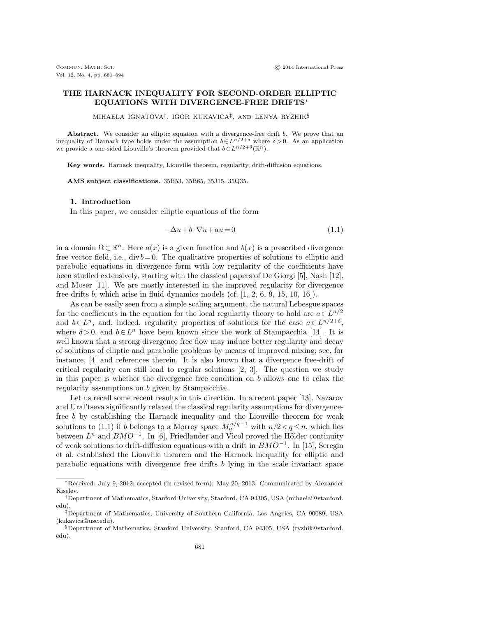# THE HARNACK INEQUALITY FOR SECOND-ORDER ELLIPTIC EQUATIONS WITH DIVERGENCE-FREE DRIFTS<sup>∗</sup>

MIHAELA IGNATOVA† , IGOR KUKAVICA‡ , AND LENYA RYZHIK§

Abstract. We consider an elliptic equation with a divergence-free drift  $b$ . We prove that an inequality of Harnack type holds under the assumption  $b \in L^{n/2+\delta}$  where  $\delta > 0$ . As an application we provide a one-sided Liouville's theorem provided that  $b \in L^{n/2+\delta}(\mathbb{R}^n)$ .

Key words. Harnack inequality, Liouville theorem, regularity, drift-diffusion equations.

AMS subject classifications. 35B53, 35B65, 35J15, 35Q35.

### 1. Introduction

In this paper, we consider elliptic equations of the form

$$
-\Delta u + b \cdot \nabla u + au = 0 \tag{1.1}
$$

in a domain  $\Omega \subset \mathbb{R}^n$ . Here  $a(x)$  is a given function and  $b(x)$  is a prescribed divergence free vector field, i.e.,  $div b = 0$ . The qualitative properties of solutions to elliptic and parabolic equations in divergence form with low regularity of the coefficients have been studied extensively, starting with the classical papers of De Giorgi [5], Nash [12], and Moser [11]. We are mostly interested in the improved regularity for divergence free drifts  $b$ , which arise in fluid dynamics models (cf.  $[1, 2, 6, 9, 15, 10, 16]$ ).

As can be easily seen from a simple scaling argument, the natural Lebesgue spaces for the coefficients in the equation for the local regularity theory to hold are  $a \in L^{n/2}$ and  $b \in L<sup>n</sup>$ , and, indeed, regularity properties of solutions for the case  $a \in L^{n/2+\delta}$ , where  $\delta > 0$ , and  $b \in L<sup>n</sup>$  have been known since the work of Stampacchia [14]. It is well known that a strong divergence free flow may induce better regularity and decay of solutions of elliptic and parabolic problems by means of improved mixing; see, for instance, [4] and references therein. It is also known that a divergence free-drift of critical regularity can still lead to regular solutions [2, 3]. The question we study in this paper is whether the divergence free condition on  $b$  allows one to relax the regularity assumptions on b given by Stampacchia.

Let us recall some recent results in this direction. In a recent paper [13], Nazarov and Ural'tseva significantly relaxed the classical regularity assumptions for divergencefree b by establishing the Harnack inequality and the Liouville theorem for weak solutions to (1.1) if b belongs to a Morrey space  $M_q^{n/q-1}$  with  $n/2 < q \leq n$ , which lies between  $L^n$  and  $BMO^{-1}$ . In [6], Friedlander and Vicol proved the Hölder continuity of weak solutions to drift-diffusion equations with a drift in  $BMO^{-1}$ . In [15], Seregin et al. established the Liouville theorem and the Harnack inequality for elliptic and parabolic equations with divergence free drifts b lying in the scale invariant space

<sup>∗</sup>Received: July 9, 2012; accepted (in revised form): May 20, 2013. Communicated by Alexander Kiselev.

<sup>†</sup>Department of Mathematics, Stanford University, Stanford, CA 94305, USA (mihaelai@stanford. edu).

<sup>‡</sup>Department of Mathematics, University of Southern California, Los Angeles, CA 90089, USA (kukavica@usc.edu).

<sup>§</sup>Department of Mathematics, Stanford University, Stanford, CA 94305, USA (ryzhik@stanford. edu).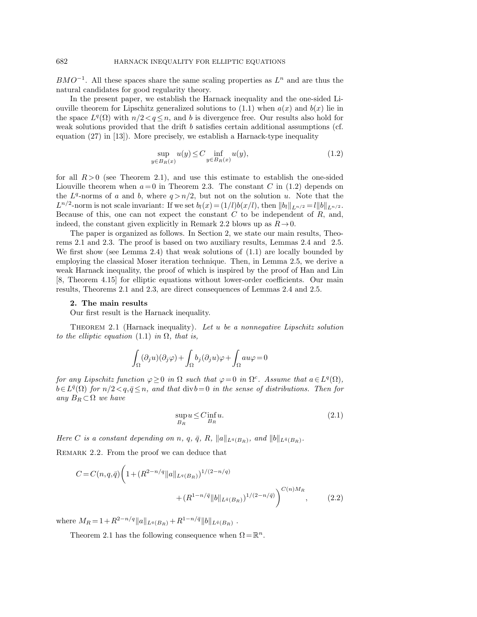$BMO^{-1}$ . All these spaces share the same scaling properties as  $L^n$  and are thus the natural candidates for good regularity theory.

In the present paper, we establish the Harnack inequality and the one-sided Liouville theorem for Lipschitz generalized solutions to  $(1.1)$  when  $a(x)$  and  $b(x)$  lie in the space  $L^q(\Omega)$  with  $n/2 < q \leq n$ , and b is divergence free. Our results also hold for weak solutions provided that the drift  $b$  satisfies certain additional assumptions (cf. equation (27) in [13]). More precisely, we establish a Harnack-type inequality

$$
\sup_{y \in B_R(x)} u(y) \le C \inf_{y \in B_R(x)} u(y),\tag{1.2}
$$

for all  $R > 0$  (see Theorem 2.1), and use this estimate to establish the one-sided Liouville theorem when  $a=0$  in Theorem 2.3. The constant C in (1.2) depends on the  $L^q$ -norms of a and b, where  $q > n/2$ , but not on the solution u. Note that the  $L^{n/2}$ -norm is not scale invariant: If we set  $b_l(x) = (1/l)b(x/l)$ , then  $||b_l||_{L^{n/2}} = l||b||_{L^{n/2}}$ . Because of this, one can not expect the constant  $C$  to be independent of  $R$ , and, indeed, the constant given explicitly in Remark 2.2 blows up as  $R\rightarrow 0$ .

The paper is organized as follows. In Section 2, we state our main results, Theorems 2.1 and 2.3. The proof is based on two auxiliary results, Lemmas 2.4 and 2.5. We first show (see Lemma 2.4) that weak solutions of (1.1) are locally bounded by employing the classical Moser iteration technique. Then, in Lemma 2.5, we derive a weak Harnack inequality, the proof of which is inspired by the proof of Han and Lin [8, Theorem 4.15] for elliptic equations without lower-order coefficients. Our main results, Theorems 2.1 and 2.3, are direct consequences of Lemmas 2.4 and 2.5.

### 2. The main results

Our first result is the Harnack inequality.

THEOREM 2.1 (Harnack inequality). Let u be a nonnegative Lipschitz solution to the elliptic equation (1.1) in  $\Omega$ , that is,

$$
\int_{\Omega}(\partial_j u)(\partial_j\varphi)+\int_{\Omega}b_j(\partial_j u)\varphi+\int_{\Omega}au\varphi=0
$$

for any Lipschitz function  $\varphi \geq 0$  in  $\Omega$  such that  $\varphi = 0$  in  $\Omega^c$ . Assume that  $a \in L^q(\Omega)$ ,  $b \in L^{\bar{q}}(\Omega)$  for  $n/2 < q, \bar{q} \leq n$ , and that  $\text{div } b = 0$  in the sense of distributions. Then for any  $B_R \subset \Omega$  we have

$$
\sup_{B_R} u \le C \inf_{B_R} u. \tag{2.1}
$$

Here C is a constant depending on n, q,  $\bar{q}$ , R,  $||a||_{L^q(B_R)}$ , and  $||b||_{L^{\bar{q}}(B_R)}$ .

REMARK 2.2. From the proof we can deduce that

$$
C = C(n, q, \bar{q}) \left( 1 + (R^{2-n/q} \|a\|_{L^q(B_R)})^{1/(2-n/q)} + (R^{1-n/\bar{q}} \|b\|_{L^{\bar{q}}(B_R)})^{1/(2-n/\bar{q})} \right)^{C(n)M_R},
$$
\n(2.2)

where  $M_R = 1 + R^{2-n/q} ||a||_{L^q(B_R)} + R^{1-n/q} ||b||_{L^{\bar{q}}(B_R)}$ .

Theorem 2.1 has the following consequence when  $\Omega = \mathbb{R}^n$ .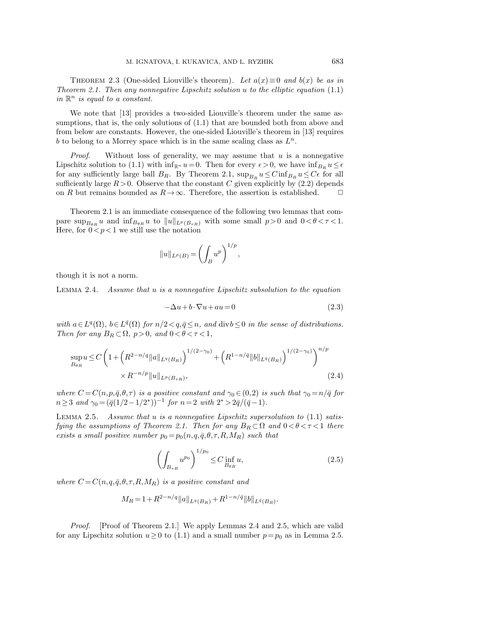THEOREM 2.3 (One-sided Liouville's theorem). Let  $a(x)\equiv 0$  and  $b(x)$  be as in Theorem 2.1. Then any nonnegative Lipschitz solution  $u$  to the elliptic equation  $(1.1)$ in  $\mathbb{R}^n$  is equal to a constant.

We note that [13] provides a two-sided Liouville's theorem under the same assumptions, that is, the only solutions of  $(1.1)$  that are bounded both from above and from below are constants. However, the one-sided Liouville's theorem in [13] requires b to belong to a Morrey space which is in the same scaling class as  $L^n$ .

*Proof.* Without loss of generality, we may assume that  $u$  is a nonnegative Lipschitz solution to (1.1) with  $\inf_{\mathbb{R}^n} u=0$ . Then for every  $\epsilon > 0$ , we have  $\inf_{B_R} u \leq \epsilon$ for any sufficiently large ball  $B_R$ . By Theorem 2.1,  $\sup_{B_R} u \leq C \inf_{B_R} u \leq C\epsilon$  for all sufficiently large  $R > 0$ . Observe that the constant C given explicitly by (2.2) depends on R but remains bounded as  $R\rightarrow\infty$ . Therefore, the assertion is established.

Theorem 2.1 is an immediate consequence of the following two lemmas that compare  $\sup_{B_{\theta R}} u$  and  $\inf_{B_{\theta R}} u$  to  $||u||_{L^p(B_{\tau R})}$  with some small  $p > 0$  and  $0 < \theta < \tau < 1$ . Here, for  $0 < p < 1$  we still use the notation

$$
||u||_{L^p(B)} = \left(\int_B u^p\right)^{1/p},\,
$$

though it is not a norm.

Lemma 2.4. Assume that u is a nonnegative Lipschitz subsolution to the equation

$$
-\Delta u + b \cdot \nabla u + au = 0 \tag{2.3}
$$

with  $a \in L^q(\Omega)$ ,  $b \in L^{\bar{q}}(\Omega)$  for  $n/2 < q, \bar{q} \leq n$ , and  $\text{div } b \leq 0$  in the sense of distributions. Then for any  $B_R \subset \Omega$ ,  $p > 0$ , and  $0 < \theta < \tau < 1$ ,

$$
\sup_{B_{\theta R}} u \le C \left( 1 + \left( R^{2 - n/q} \|a\|_{L^q(B_R)} \right)^{1/(2 - \gamma_0)} + \left( R^{1 - n/\bar{q}} \|b\|_{L^{\bar{q}}(B_R)} \right)^{1/(2 - \gamma_0)} \right)^{n/p} \times R^{-n/p} \|u\|_{L^p(B_{\tau R})},
$$
\n(2.4)

where  $C = C(n, p, \bar{q}, \theta, \tau)$  is a positive constant and  $\gamma_0 \in (0, 2)$  is such that  $\gamma_0 = n/\bar{q}$  for  $n \geq 3$  and  $\gamma_0 = (\bar{q}(1/2 - 1/2^*))^{-1}$  for  $n = 2$  with  $2^* > 2\bar{q}/(\bar{q} - 1)$ .

LEMMA 2.5. Assume that u is a nonnegative Lipschitz supersolution to  $(1.1)$  satisfying the assumptions of Theorem 2.1. Then for any  $B_R \subset \Omega$  and  $0 < \theta < \tau < 1$  there exists a small positive number  $p_0 = p_0(n,q,\bar{q},\theta,\tau,R,M_R)$  such that

$$
\left(\int_{B_{\tau R}} u^{p_0}\right)^{1/p_0} \le C \inf_{B_{\theta R}} u,\tag{2.5}
$$

where  $C = C(n,q,\bar{q},\theta,\tau,R,M_R)$  is a positive constant and

$$
M_R = 1 + R^{2-n/q} ||a||_{L^q(B_R)} + R^{1-n/\bar{q}} ||b||_{L^{\bar{q}}(B_R)}.
$$

*Proof.* [Proof of Theorem 2.1.] We apply Lemmas 2.4 and 2.5, which are valid for any Lipschitz solution  $u \ge 0$  to (1.1) and a small number  $p = p_0$  as in Lemma 2.5.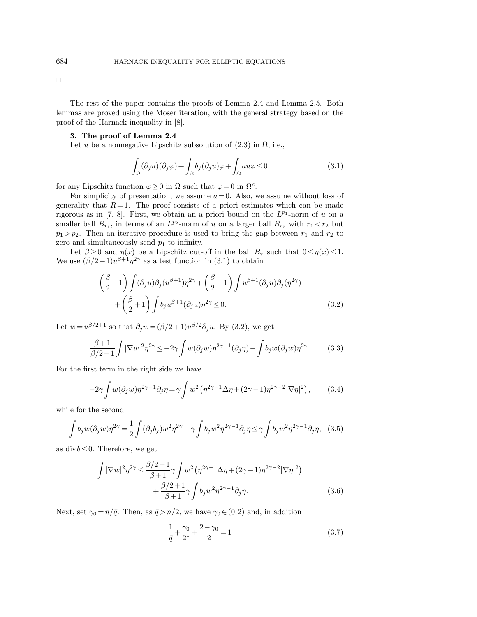$\Box$ 

The rest of the paper contains the proofs of Lemma 2.4 and Lemma 2.5. Both lemmas are proved using the Moser iteration, with the general strategy based on the proof of the Harnack inequality in [8].

## 3. The proof of Lemma 2.4

Let u be a nonnegative Lipschitz subsolution of  $(2.3)$  in  $\Omega$ , i.e.,

$$
\int_{\Omega} (\partial_j u)(\partial_j \varphi) + \int_{\Omega} b_j(\partial_j u)\varphi + \int_{\Omega} au\varphi \le 0 \tag{3.1}
$$

for any Lipschitz function  $\varphi \geq 0$  in  $\Omega$  such that  $\varphi = 0$  in  $\Omega^c$ .

For simplicity of presentation, we assume  $a=0$ . Also, we assume without loss of generality that  $R=1$ . The proof consists of a priori estimates which can be made rigorous as in [7, 8]. First, we obtain an a priori bound on the  $L^{p_1}$ -norm of u on a smaller ball  $B_{r_1}$ , in terms of an  $L^{p_2}$ -norm of u on a larger ball  $B_{r_2}$  with  $r_1 < r_2$  but  $p_1 > p_2$ . Then an iterative procedure is used to bring the gap between  $r_1$  and  $r_2$  to zero and simultaneously send  $p_1$  to infinity.

Let  $\beta \geq 0$  and  $\eta(x)$  be a Lipschitz cut-off in the ball  $B_{\tau}$  such that  $0 \leq \eta(x) \leq 1$ . We use  $(\beta/2+1)u^{\beta+1}\eta^{2\gamma}$  as a test function in (3.1) to obtain

$$
\left(\frac{\beta}{2}+1\right) \int (\partial_j u) \partial_j (u^{\beta+1}) \eta^{2\gamma} + \left(\frac{\beta}{2}+1\right) \int u^{\beta+1} (\partial_j u) \partial_j (\eta^{2\gamma}) + \left(\frac{\beta}{2}+1\right) \int b_j u^{\beta+1} (\partial_j u) \eta^{2\gamma} \le 0.
$$
\n(3.2)

Let  $w=u^{\beta/2+1}$  so that  $\partial_j w = (\beta/2+1)u^{\beta/2}\partial_j u$ . By (3.2), we get

$$
\frac{\beta+1}{\beta/2+1} \int |\nabla w|^2 \eta^{2\gamma} \le -2\gamma \int w(\partial_j w) \eta^{2\gamma-1}(\partial_j \eta) - \int b_j w(\partial_j w) \eta^{2\gamma}.
$$
 (3.3)

For the first term in the right side we have

$$
-2\gamma \int w(\partial_j w)\eta^{2\gamma-1}\partial_j \eta = \gamma \int w^2 \left(\eta^{2\gamma-1}\Delta \eta + (2\gamma - 1)\eta^{2\gamma-2}|\nabla \eta|^2\right),\tag{3.4}
$$

while for the second

$$
-\int b_j w(\partial_j w)\eta^{2\gamma} = \frac{1}{2}\int (\partial_j b_j)w^2\eta^{2\gamma} + \gamma \int b_j w^2\eta^{2\gamma - 1}\partial_j \eta \le \gamma \int b_j w^2\eta^{2\gamma - 1}\partial_j \eta, \quad (3.5)
$$

as div $b \leq 0$ . Therefore, we get

$$
\int |\nabla w|^2 \eta^{2\gamma} \le \frac{\beta/2 + 1}{\beta + 1} \gamma \int w^2 \left( \eta^{2\gamma - 1} \Delta \eta + (2\gamma - 1) \eta^{2\gamma - 2} |\nabla \eta|^2 \right) + \frac{\beta/2 + 1}{\beta + 1} \gamma \int b_j w^2 \eta^{2\gamma - 1} \partial_j \eta.
$$
 (3.6)

Next, set  $\gamma_0 = n/\bar{q}$ . Then, as  $\bar{q} > n/2$ , we have  $\gamma_0 \in (0,2)$  and, in addition

$$
\frac{1}{\bar{q}} + \frac{\gamma_0}{2^*} + \frac{2 - \gamma_0}{2} = 1\tag{3.7}
$$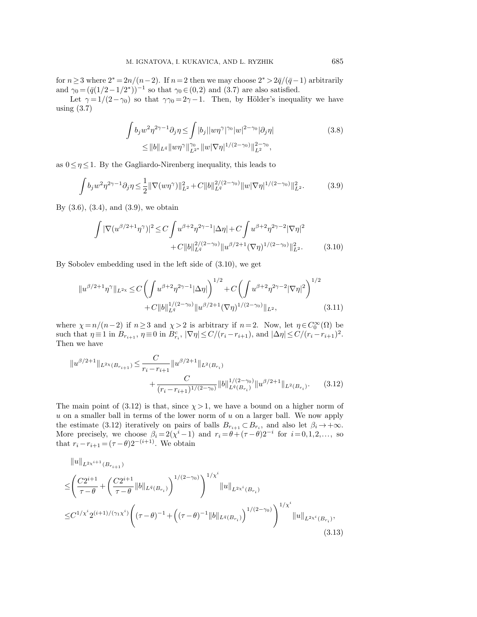for  $n\geq 3$  where  $2^* = 2n/(n-2)$ . If  $n=2$  then we may choose  $2^* > 2\bar{q}/(\bar{q}-1)$  arbitrarily and  $\gamma_0 = (\bar{q}(1/2 - 1/2^*))^{-1}$  so that  $\gamma_0 \in (0, 2)$  and  $(3.7)$  are also satisfied.

Let  $\gamma = 1/(2-\gamma_0)$  so that  $\gamma\gamma_0 = 2\gamma - 1$ . Then, by Hölder's inequality we have using (3.7)

$$
\int b_j w^2 \eta^{2\gamma - 1} \partial_j \eta \le \int |b_j| |w \eta^{\gamma}|^{\gamma_0} |w|^{2 - \gamma_0} |\partial_j \eta|
$$
\n
$$
\le \|b\|_{L^{\bar{q}}} \|w \eta^{\gamma}\|_{L^{2*}}^{\gamma_0} \|w \nabla \eta\|^{1/(2 - \gamma_0)} \|_{L^{2}}^{2 - \gamma_0},
$$
\n(3.8)

as  $0 \leq \eta \leq 1$ . By the Gagliardo-Nirenberg inequality, this leads to

$$
\int b_j w^2 \eta^{2\gamma - 1} \partial_j \eta \le \frac{1}{2} \|\nabla(w\eta^{\gamma})\|_{L^2}^2 + C \|b\|_{L^q}^{2/(2-\gamma_0)} \|w|\nabla\eta|^{1/(2-\gamma_0)}\|_{L^2}^2. \tag{3.9}
$$

By  $(3.6), (3.4), \text{ and } (3.9), \text{ we obtain}$ 

$$
\int |\nabla(u^{\beta/2+1}\eta^{\gamma})|^2 \le C \int u^{\beta+2}\eta^{2\gamma-1} |\Delta \eta| + C \int u^{\beta+2}\eta^{2\gamma-2} |\nabla \eta|^2
$$
  
+  $C \|b\|_{L^q}^{2/(2-\gamma_0)} \|u^{\beta/2+1}(\nabla \eta)^{1/(2-\gamma_0)}\|_{L^2}^2.$  (3.10)

By Sobolev embedding used in the left side of (3.10), we get

$$
||u^{\beta/2+1}\eta^{\gamma}||_{L^{2\chi}} \leq C\left(\int u^{\beta+2}\eta^{2\gamma-1}|\Delta\eta|\right)^{1/2} + C\left(\int u^{\beta+2}\eta^{2\gamma-2}|\nabla\eta|^{2}\right)^{1/2} + C||b||_{L^{q}}^{1/(2-\gamma_{0})}||u^{\beta/2+1}(\nabla\eta)^{1/(2-\gamma_{0})}||_{L^{2}},
$$
\n(3.11)

where  $\chi = n/(n-2)$  if  $n \ge 3$  and  $\chi > 2$  is arbitrary if  $n = 2$ . Now, let  $\eta \in C_0^{\infty}(\Omega)$  be such that  $\eta \equiv 1$  in  $B_{r_{i+1}}$ ,  $\eta \equiv 0$  in  $B_{r_i}^c$ ,  $|\nabla \eta| \le C/(r_i - r_{i+1})$ , and  $|\Delta \eta| \le C/(r_i - r_{i+1})^2$ . Then we have

$$
||u^{\beta/2+1}||_{L^{2\chi}(B_{r_{i+1}})} \leq \frac{C}{r_i - r_{i+1}} ||u^{\beta/2+1}||_{L^2(B_{r_i})} + \frac{C}{(r_i - r_{i+1})^{1/(2-\gamma_0)}} ||b||_{L^q(B_{r_i})}^{1/(2-\gamma_0)} ||u^{\beta/2+1}||_{L^2(B_{r_i})}.
$$
 (3.12)

The main point of (3.12) is that, since  $\chi > 1$ , we have a bound on a higher norm of  $u$  on a smaller ball in terms of the lower norm of  $u$  on a larger ball. We now apply the estimate (3.12) iteratively on pairs of balls  $B_{r_{i+1}} \subset B_{r_i}$ , and also let  $\beta_i \to +\infty$ . More precisely, we choose  $\beta_i = 2(\chi^i - 1)$  and  $r_i = \theta + (\tau - \theta)2^{-i}$  for  $i = 0, 1, 2, \dots$ , so that  $r_i - r_{i+1} = (\tau - \theta)2^{-(i+1)}$ . We obtain

$$
\|u\|_{L^{2\chi^{i+1}}(B_{r_{i+1}})}
$$
\n
$$
\leq \left(\frac{C2^{i+1}}{\tau-\theta} + \left(\frac{C2^{i+1}}{\tau-\theta} \|b\|_{L^{\bar{q}}(B_{r_i})}\right)^{1/(2-\gamma_0)}\right)^{1/\chi^{i}} \|u\|_{L^{2\chi^{i}}(B_{r_i})}
$$
\n
$$
\leq C^{1/\chi^{i}} 2^{(i+1)/(\gamma_1\chi^{i})} \left((\tau-\theta)^{-1} + \left((\tau-\theta)^{-1} \|b\|_{L^{\bar{q}}(B_{r_i})}\right)^{1/(2-\gamma_0)}\right)^{1/\chi^{i}} \|u\|_{L^{2\chi^{i}}(B_{r_i})},
$$
\n(3.13)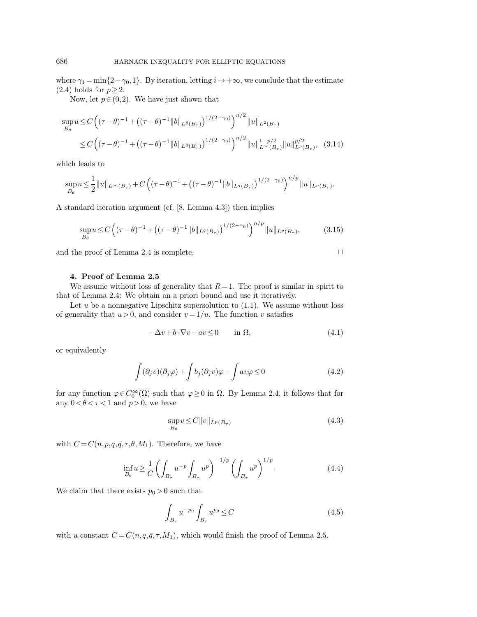where  $\gamma_1 = \min\{2-\gamma_0, 1\}$ . By iteration, letting  $i \to +\infty$ , we conclude that the estimate (2.4) holds for  $p \geq 2$ .

Now, let  $p \in (0,2)$ . We have just shown that

$$
\sup_{B_{\theta}} u \le C \left( (\tau - \theta)^{-1} + \left( (\tau - \theta)^{-1} \| b \|_{L^{\bar{q}}(B_{\tau})} \right)^{1/(2-\gamma_0)} \right)^{n/2} \| u \|_{L^{2}(B_{\tau})}
$$
\n
$$
\le C \left( (\tau - \theta)^{-1} + \left( (\tau - \theta)^{-1} \| b \|_{L^{\bar{q}}(B_{\tau})} \right)^{1/(2-\gamma_0)} \right)^{n/2} \| u \|_{L^{\infty}(B_{\tau})}^{1-p/2} \| u \|_{L^{p}(B_{\tau})}^{p/2}, \quad (3.14)
$$

which leads to

$$
\sup_{B_{\theta}} u \leq \frac{1}{2} ||u||_{L^{\infty}(B_{\tau})} + C \left( (\tau - \theta)^{-1} + ((\tau - \theta)^{-1} ||b||_{L^{\bar{q}}(B_{\tau})})^{1/(2-\gamma_0)} \right)^{n/p} ||u||_{L^{p}(B_{\tau})}.
$$

A standard iteration argument (cf. [8, Lemma 4.3]) then implies

$$
\sup_{B_{\theta}} u \le C \left( (\tau - \theta)^{-1} + \left( (\tau - \theta)^{-1} ||b||_{L^{\bar{q}}(B_{\tau})} \right)^{1/(2-\gamma_0)} \right)^{n/p} ||u||_{L^{p}(B_{\tau})},
$$
(3.15)

and the proof of Lemma 2.4 is complete.  $\Box$ 

4. Proof of Lemma 2.5

We assume without loss of generality that  $R = 1$ . The proof is similar in spirit to that of Lemma 2.4: We obtain an a priori bound and use it iteratively.

Let  $u$  be a nonnegative Lipschitz supersolution to  $(1.1)$ . We assume without loss of generality that  $u > 0$ , and consider  $v = 1/u$ . The function v satisfies

$$
-\Delta v + b \cdot \nabla v - av \le 0 \quad \text{in } \Omega,
$$
\n(4.1)

or equivalently

$$
\int (\partial_j v)(\partial_j \varphi) + \int b_j (\partial_j v) \varphi - \int a v \varphi \le 0 \tag{4.2}
$$

for any function  $\varphi \in C_0^{\infty}(\Omega)$  such that  $\varphi \geq 0$  in  $\Omega$ . By Lemma 2.4, it follows that for any  $0 < \theta < \tau < 1$  and  $p > 0$ , we have

$$
\sup_{B_{\theta}} v \le C ||v||_{L^{p}(B_{\tau})}
$$
\n(4.3)

with  $C = C(n, p, q, \bar{q}, \tau, \theta, M_1)$ . Therefore, we have

$$
\inf_{B_{\theta}} u \ge \frac{1}{C} \left( \int_{B_{\tau}} u^{-p} \int_{B_{\tau}} u^{p} \right)^{-1/p} \left( \int_{B_{\tau}} u^{p} \right)^{1/p} . \tag{4.4}
$$

We claim that there exists  $p_0 > 0$  such that

$$
\int_{B_{\tau}} u^{-p_0} \int_{B_{\tau}} u^{p_0} \le C \tag{4.5}
$$

with a constant  $C = C(n,q,\bar{q},\tau,M_1)$ , which would finish the proof of Lemma 2.5.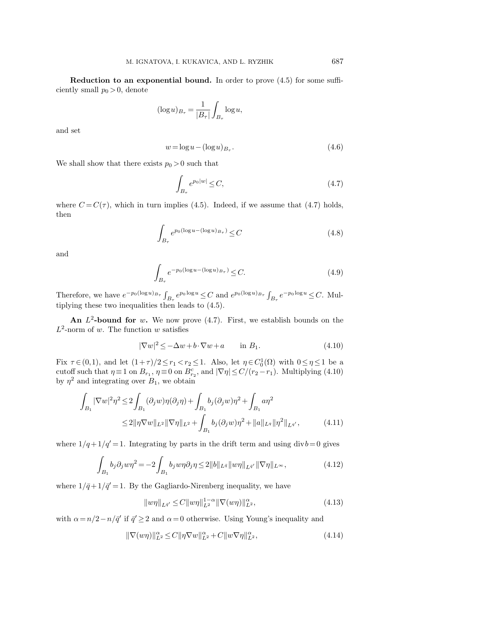Reduction to an exponential bound. In order to prove (4.5) for some sufficiently small  $p_0 > 0$ , denote

$$
(\log u)_{B_{\tau}} = \frac{1}{|B_{\tau}|} \int_{B_{\tau}} \log u,
$$

and set

$$
w = \log u - (\log u)_{B_{\tau}}.\tag{4.6}
$$

We shall show that there exists  $p_0 > 0$  such that

$$
\int_{B_{\tau}} e^{p_0|w|} \le C,\tag{4.7}
$$

where  $C = C(\tau)$ , which in turn implies (4.5). Indeed, if we assume that (4.7) holds, then

$$
\int_{B_{\tau}} e^{p_0(\log u - (\log u)_{B_{\tau}})} \leq C \tag{4.8}
$$

and

$$
\int_{B_{\tau}} e^{-p_0(\log u - (\log u)_{B_{\tau}})} \leq C.
$$
\n(4.9)

Therefore, we have  $e^{-p_0(\log u)_{B_{\tau}}} \int_{B_{\tau}} e^{p_0 \log u} \leq C$  and  $e^{p_0(\log u)_{B_{\tau}}} \int_{B_{\tau}} e^{-p_0 \log u} \leq C$ . Multiplying these two inequalities then leads to (4.5).

An  $L^2$ -bound for w. We now prove (4.7). First, we establish bounds on the  $L^2$ -norm of w. The function w satisfies

$$
|\nabla w|^2 \le -\Delta w + b \cdot \nabla w + a \qquad \text{in } B_1. \tag{4.10}
$$

Fix  $\tau \in (0,1)$ , and let  $(1+\tau)/2 \le r_1 < r_2 \le 1$ . Also, let  $\eta \in C_0^1(\Omega)$  with  $0 \le \eta \le 1$  be a cutoff such that  $\eta \equiv 1$  on  $B_{r_1}$ ,  $\eta \equiv 0$  on  $B_{r_2}^c$ , and  $|\nabla \eta| \le C/(r_2 - r_1)$ . Multiplying (4.10) by  $\eta^2$  and integrating over  $B_1$ , we obtain

$$
\int_{B_1} |\nabla w|^2 \eta^2 \le 2 \int_{B_1} (\partial_j w) \eta (\partial_j \eta) + \int_{B_1} b_j (\partial_j w) \eta^2 + \int_{B_1} a \eta^2
$$
  
\n
$$
\le 2 \|\eta \nabla w\|_{L^2} \|\nabla \eta\|_{L^2} + \int_{B_1} b_j (\partial_j w) \eta^2 + \|a\|_{L^q} \|\eta^2\|_{L^{q'}},
$$
\n(4.11)

where  $1/q + 1/q' = 1$ . Integrating by parts in the drift term and using div $b=0$  gives

$$
\int_{B_1} b_j \partial_j w \eta^2 = -2 \int_{B_1} b_j w \eta \partial_j \eta \le 2 \|b\|_{L^{\bar{q}}} \|w\eta\|_{L^{\bar{q}'}} \|\nabla \eta\|_{L^\infty},
$$
\n(4.12)

where  $1/\bar{q}+1/\bar{q}'=1$ . By the Gagliardo-Nirenberg inequality, we have

$$
||w\eta||_{L^{q'}} \le C||w\eta||_{L^{2}}^{1-\alpha} ||\nabla(w\eta)||_{L^{2}}^{\alpha}, \qquad (4.13)
$$

with  $\alpha = n/2 - n/\bar{q}'$  if  $\bar{q}' \geq 2$  and  $\alpha = 0$  otherwise. Using Young's inequality and

$$
\|\nabla(w\eta)\|_{L^2}^{\alpha} \le C \|\eta \nabla w\|_{L^2}^{\alpha} + C \|w \nabla \eta\|_{L^2}^{\alpha},\tag{4.14}
$$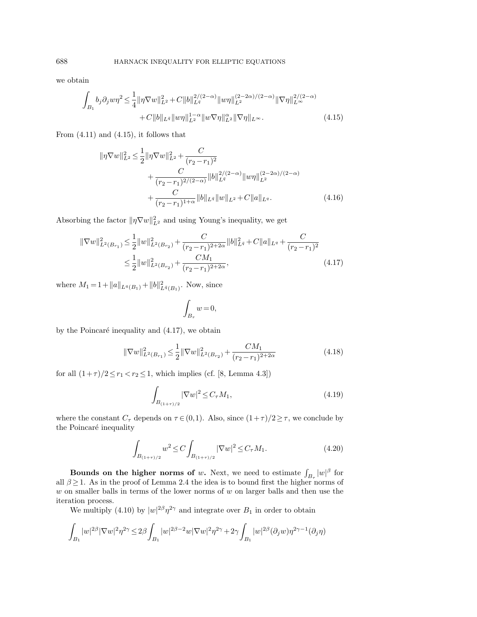we obtain

$$
\int_{B_1} b_j \partial_j w \eta^2 \leq \frac{1}{4} \|\eta \nabla w\|_{L^2}^2 + C \|b\|_{L^{\bar{q}}}^{2/(2-\alpha)} \|w\eta\|_{L^2}^{(2-\alpha)/(2-\alpha)} \|\nabla \eta\|_{L^\infty}^{2/(2-\alpha)} + C \|b\|_{L^{\bar{q}}} \|w\eta\|_{L^2}^{1-\alpha} \|w\nabla \eta\|_{L^2}^{2} \|\nabla \eta\|_{L^\infty}.
$$
\n(4.15)

From  $(4.11)$  and  $(4.15)$ , it follows that

$$
\|\eta \nabla w\|_{L^{2}}^{2} \leq \frac{1}{2} \|\eta \nabla w\|_{L^{2}}^{2} + \frac{C}{(r_{2} - r_{1})^{2}} + \frac{C}{(r_{2} - r_{1})^{2/(2-\alpha)}} \|\phi\|_{L^{q}}^{2/(2-\alpha)} \|w\eta\|_{L^{2}}^{(2-2\alpha)/(2-\alpha)} + \frac{C}{(r_{2} - r_{1})^{1+\alpha}} \|\phi\|_{L^{q}} \|w\|_{L^{2}} + C \|a\|_{L^{q}}.
$$
\n(4.16)

Absorbing the factor  $\|\eta \nabla w\|_{L^2}^2$  and using Young's inequality, we get

$$
\|\nabla w\|_{L^{2}(B_{r_{1}})}^{2} \leq \frac{1}{2} \|w\|_{L^{2}(B_{r_{2}})}^{2} + \frac{C}{(r_{2}-r_{1})^{2+2\alpha}} \|b\|_{L^{q}}^{2} + C \|a\|_{L^{q}} + \frac{C}{(r_{2}-r_{1})^{2}} \leq \frac{1}{2} \|w\|_{L^{2}(B_{r_{2}})}^{2} + \frac{CM_{1}}{(r_{2}-r_{1})^{2+2\alpha}},
$$
\n(4.17)

where  $M_1 = 1 + ||a||_{L^q(B_1)} + ||b||_{L^{\bar{q}}(B_1)}^2$ . Now, since

$$
\int_{B_{\tau}}w=0,
$$

by the Poincaré inequality and  $(4.17)$ , we obtain

$$
\|\nabla w\|_{L^2(B_{r_1})}^2 \le \frac{1}{2} \|\nabla w\|_{L^2(B_{r_2})}^2 + \frac{CM_1}{(r_2 - r_1)^{2+2\alpha}} \tag{4.18}
$$

for all  $(1+\tau)/2 \leq r_1 < r_2 \leq 1$ , which implies (cf. [8, Lemma 4.3])

$$
\int_{B_{(1+\tau)/2}} |\nabla w|^2 \le C_\tau M_1,\tag{4.19}
$$

where the constant  $C_{\tau}$  depends on  $\tau \in (0,1)$ . Also, since  $(1+\tau)/2 \geq \tau$ , we conclude by the Poincaré inequality

$$
\int_{B_{(1+\tau)/2}} w^2 \le C \int_{B_{(1+\tau)/2}} |\nabla w|^2 \le C_\tau M_1. \tag{4.20}
$$

Bounds on the higher norms of w. Next, we need to estimate  $\int_{B_{\tau}} |w|^{\beta}$  for all  $\beta \geq 1$ . As in the proof of Lemma 2.4 the idea is to bound first the higher norms of  $w$  on smaller balls in terms of the lower norms of  $w$  on larger balls and then use the iteration process.

We multiply (4.10) by  $|w|^{2\beta} \eta^{2\gamma}$  and integrate over  $B_1$  in order to obtain

$$
\int_{B_1}|w|^{2\beta}|\nabla w|^2\eta^{2\gamma}\leq 2\beta\int_{B_1}|w|^{2\beta-2}w|\nabla w|^2\eta^{2\gamma}+2\gamma\int_{B_1}|w|^{2\beta}(\partial_j w)\eta^{2\gamma-1}(\partial_j \eta)
$$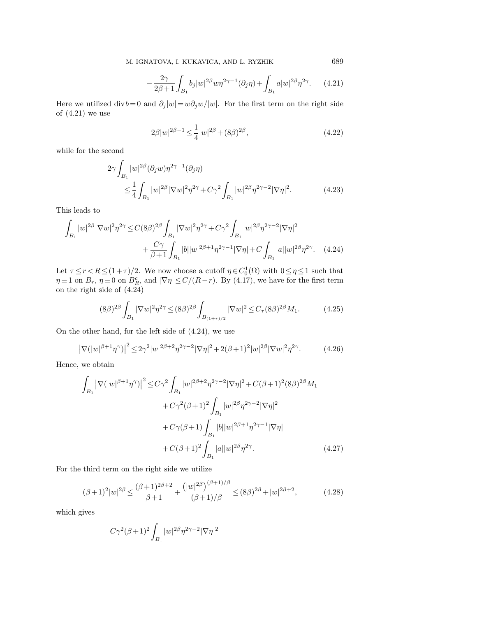$$
-\frac{2\gamma}{2\beta+1}\int_{B_1} b_j |w|^{2\beta} w \eta^{2\gamma-1}(\partial_j \eta) + \int_{B_1} a |w|^{2\beta} \eta^{2\gamma}.
$$
 (4.21)

Here we utilized div $b=0$  and  $\partial_i |w|=w\partial_i w/|w|$ . For the first term on the right side of (4.21) we use

$$
2\beta|w|^{2\beta - 1} \le \frac{1}{4}|w|^{2\beta} + (8\beta)^{2\beta},\tag{4.22}
$$

while for the second

$$
2\gamma \int_{B_1} |w|^{2\beta} (\partial_j w) \eta^{2\gamma - 1} (\partial_j \eta)
$$
  
\n
$$
\leq \frac{1}{4} \int_{B_1} |w|^{2\beta} |\nabla w|^2 \eta^{2\gamma} + C\gamma^2 \int_{B_1} |w|^{2\beta} \eta^{2\gamma - 2} |\nabla \eta|^2.
$$
\n(4.23)

This leads to

$$
\int_{B_1} |w|^{2\beta} |\nabla w|^2 \eta^{2\gamma} \le C(8\beta)^{2\beta} \int_{B_1} |\nabla w|^2 \eta^{2\gamma} + C\gamma^2 \int_{B_1} |w|^{2\beta} \eta^{2\gamma - 2} |\nabla \eta|^2
$$
  
+ 
$$
\frac{C\gamma}{\beta + 1} \int_{B_1} |b| |w|^{2\beta + 1} \eta^{2\gamma - 1} |\nabla \eta| + C \int_{B_1} |a| |w|^{2\beta} \eta^{2\gamma}.
$$
 (4.24)

Let  $\tau \le r < R \le (1+\tau)/2$ . We now choose a cutoff  $\eta \in C_0^1(\Omega)$  with  $0 \le \eta \le 1$  such that  $\eta \equiv 1$  on  $B_r$ ,  $\eta \equiv 0$  on  $B_R^c$ , and  $|\nabla \eta| \le C/(R-r)$ . By (4.17), we have for the first term on the right side of (4.24)

$$
(8\beta)^{2\beta} \int_{B_1} |\nabla w|^2 \eta^{2\gamma} \le (8\beta)^{2\beta} \int_{B_{(1+\tau)/2}} |\nabla w|^2 \le C_\tau (8\beta)^{2\beta} M_1. \tag{4.25}
$$

On the other hand, for the left side of (4.24), we use

$$
\left|\nabla(|w|^{\beta+1}\eta^{\gamma})\right|^2 \le 2\gamma^2|w|^{2\beta+2}\eta^{2\gamma-2}|\nabla\eta|^2 + 2(\beta+1)^2|w|^{2\beta}|\nabla w|^2\eta^{2\gamma}.\tag{4.26}
$$

Hence, we obtain

$$
\int_{B_1} \left| \nabla (|w|^{\beta+1} \eta^{\gamma}) \right|^2 \leq C \gamma^2 \int_{B_1} |w|^{2\beta+2} \eta^{2\gamma-2} |\nabla \eta|^2 + C(\beta+1)^2 (8\beta)^{2\beta} M_1
$$

$$
+ C \gamma^2 (\beta+1)^2 \int_{B_1} |w|^{2\beta} \eta^{2\gamma-2} |\nabla \eta|^2
$$

$$
+ C \gamma (\beta+1) \int_{B_1} |b| |w|^{2\beta+1} \eta^{2\gamma-1} |\nabla \eta|
$$

$$
+ C(\beta+1)^2 \int_{B_1} |a| |w|^{2\beta} \eta^{2\gamma}.
$$
(4.27)

For the third term on the right side we utilize

$$
(\beta+1)^2|w|^{2\beta} \le \frac{(\beta+1)^{2\beta+2}}{\beta+1} + \frac{(|w|^{2\beta})^{(\beta+1)/\beta}}{(\beta+1)/\beta} \le (8\beta)^{2\beta} + |w|^{2\beta+2},\tag{4.28}
$$

which gives

$$
C\gamma^2(\beta+1)^2\int_{B_1}|w|^{2\beta}\eta^{2\gamma-2}|\nabla\eta|^2
$$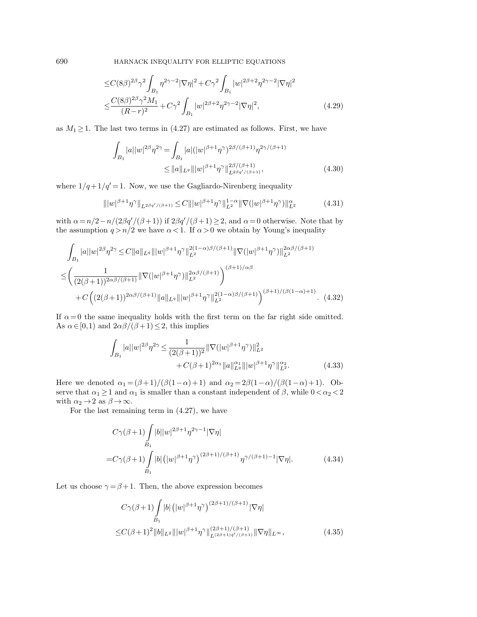$$
\leq C(8\beta)^{2\beta}\gamma^2 \int_{B_1} \eta^{2\gamma-2} |\nabla \eta|^2 + C\gamma^2 \int_{B_1} |w|^{2\beta+2} \eta^{2\gamma-2} |\nabla \eta|^2
$$
  

$$
\leq \frac{C(8\beta)^{2\beta}\gamma^2 M_1}{(R-r)^2} + C\gamma^2 \int_{B_1} |w|^{2\beta+2} \eta^{2\gamma-2} |\nabla \eta|^2,
$$
 (4.29)

as  $M_1 \geq 1$ . The last two terms in (4.27) are estimated as follows. First, we have

$$
\int_{B_1} |a| |w|^{2\beta} \eta^{2\gamma} = \int_{B_1} |a| (|w|^{\beta+1} \eta^{\gamma})^{2\beta/(\beta+1)} \eta^{2\gamma/(\beta+1)} \leq ||a||_{L^q} |||w|^{\beta+1} \eta^{\gamma} ||_{L^{2\beta q' / (\beta+1)}}^{2\beta/(\beta+1)},
$$
\n(4.30)

where  $1/q + 1/q' = 1$ . Now, we use the Gagliardo-Nirenberg inequality

$$
\| |w|^{\beta+1} \eta^{\gamma} \|_{L^{2\beta q'/(\beta+1)}} \leq C \| |w|^{\beta+1} \eta^{\gamma} \|_{L^{2}}^{1-\alpha} \| \nabla (|w|^{\beta+1} \eta^{\gamma}) \|_{L^{2}}^{\alpha} \tag{4.31}
$$

with  $\alpha = n/2 - n/(2\beta q'/(\beta + 1))$  if  $2\beta q'/(\beta + 1) \geq 2$ , and  $\alpha = 0$  otherwise. Note that by the assumption  $q > n/2$  we have  $\alpha < 1$ . If  $\alpha > 0$  we obtain by Young's inequality

$$
\int_{B_1} |a||w|^{2\beta} \eta^{2\gamma} \leq C \|a\|_{L^q} \|w|^{\beta+1} \eta^{\gamma}\|_{L^2}^{2(1-\alpha)\beta/(\beta+1)} \|\nabla (|w|^{\beta+1} \eta^{\gamma})\|_{L^2}^{2\alpha\beta/(\beta+1)}
$$
\n
$$
\leq \left(\frac{1}{(2(\beta+1))^{2\alpha\beta/(\beta+1)}} \|\nabla (|w|^{\beta+1} \eta^{\gamma})\|_{L^2}^{2\alpha\beta/(\beta+1)}\right)^{(\beta+1)/\alpha\beta}
$$
\n
$$
+ C \left((2(\beta+1))^{2\alpha\beta/(\beta+1)} \|a\|_{L^q} \|w|^{\beta+1} \eta^{\gamma}\|_{L^2}^{2(1-\alpha)\beta/(\beta+1)}\right)^{(\beta+1)/(\beta(1-\alpha)+1)} . \tag{4.32}
$$

If  $\alpha = 0$  the same inequality holds with the first term on the far right side omitted. As  $\alpha \in [0,1)$  and  $2\alpha\beta/(\beta+1) \leq 2$ , this implies

$$
\int_{B_1} |a| |w|^{2\beta} \eta^{2\gamma} \le \frac{1}{(2(\beta+1))^2} \|\nabla (|w|^{\beta+1} \eta^{\gamma})\|_{L^2}^2 + C(\beta+1)^{2\alpha_1} \|a\|_{L^q}^{\alpha_1} \|w|^{\beta+1} \eta^{\gamma}\|_{L^2}^{\alpha_2}.
$$
\n(4.33)

Here we denoted  $\alpha_1 = (\beta + 1)/(\beta(1-\alpha)+1)$  and  $\alpha_2 = 2\beta(1-\alpha)/(\beta(1-\alpha)+1)$ . Observe that  $\alpha_1 \geq 1$  and  $\alpha_1$  is smaller than a constant independent of  $\beta$ , while  $0 < \alpha_2 < 2$ with  $\alpha_2 \to 2$  as  $\beta \to \infty$ .

For the last remaining term in (4.27), we have

$$
C\gamma(\beta+1)\int_{B_1} |b||w|^{2\beta+1}\eta^{2\gamma-1}|\nabla\eta|
$$
  
= $C\gamma(\beta+1)\int_{B_1} |b| (|w|^{\beta+1}\eta^{\gamma})^{(2\beta+1)/(\beta+1)} \eta^{\gamma/(\beta+1)-1}|\nabla\eta|.$  (4.34)

Let us choose  $\gamma = \beta + 1$ . Then, the above expression becomes

$$
C\gamma(\beta+1)\int\limits_{B_1}|b|\left(|w|^{\beta+1}\eta^{\gamma}\right)^{(2\beta+1)/(\beta+1)}|\nabla\eta|
$$
  

$$
\leq C(\beta+1)^2\|b\|_{L^{\bar{q}}}\|w|^{\beta+1}\eta^{\gamma}\|_{L^{(2\beta+1)\bar{q}'/(\beta+1)}}^{(2\beta+1)/(\beta+1)}\|\nabla\eta\|_{L^{\infty}},
$$
(4.35)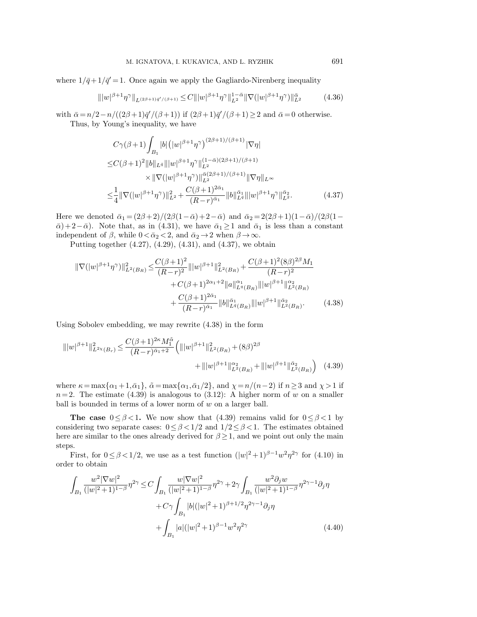where  $1/\bar{q}+1/\bar{q}'=1$ . Once again we apply the Gagliardo-Nirenberg inequality

$$
\| |w|^{\beta+1} \eta^{\gamma} \|_{L^{(2\beta+1)\bar{q}'/(\beta+1)}} \leq C \| |w|^{\beta+1} \eta^{\gamma} \|_{L^{2}}^{1-\bar{\alpha}} \| \nabla (|w|^{\beta+1} \eta^{\gamma}) \|_{L^{2}}^{\bar{\alpha}} \tag{4.36}
$$

with  $\bar{\alpha} = n/2 - n/((2\beta + 1)\bar{q}'/(\beta + 1))$  if  $(2\beta + 1)\bar{q}'/(\beta + 1) \ge 2$  and  $\bar{\alpha} = 0$  otherwise. Thus, by Young's inequality, we have

$$
C\gamma(\beta+1)\int_{B_1} |b| (|w|^{\beta+1}\eta^{\gamma})^{(2\beta+1)/(\beta+1)} |\nabla \eta|
$$
  
\n
$$
\leq C(\beta+1)^2 \|b\|_{L^{\bar{q}}}\| |w|^{\beta+1}\eta^{\gamma}\|_{L^2}^{(1-\bar{\alpha})(2\beta+1)/(\beta+1)}
$$
  
\n
$$
\times \|\nabla(|w|^{\beta+1}\eta^{\gamma})\|_{L^2}^{\bar{\alpha}(2\beta+1)/(\beta+1)} \|\nabla \eta\|_{L^{\infty}}
$$
  
\n
$$
\leq \frac{1}{4} \|\nabla(|w|^{\beta+1}\eta^{\gamma})\|_{L^2}^2 + \frac{C(\beta+1)^{2\bar{\alpha}_1}}{(R-r)^{\bar{\alpha}_1}} \|b\|_{L^{\bar{q}}}^{\bar{\alpha}_1}\| |w|^{\beta+1}\eta^{\gamma}\|_{L^2}^{\bar{\alpha}_2}.
$$
\n(4.37)

Here we denoted  $\bar{\alpha}_1 = (2\beta + 2)/(2\beta(1-\bar{\alpha})+2-\bar{\alpha})$  and  $\bar{\alpha}_2 = 2(2\beta+1)(1-\bar{\alpha})/(2\beta(1-\bar{\alpha}))$  $\bar{\alpha}$ )+ 2− $\bar{\alpha}$ ). Note that, as in (4.31), we have  $\bar{\alpha}_1 \geq 1$  and  $\bar{\alpha}_1$  is less than a constant independent of  $\beta$ , while  $0 < \bar{\alpha}_2 < 2$ , and  $\bar{\alpha}_2 \rightarrow 2$  when  $\beta \rightarrow \infty$ .

Putting together (4.27), (4.29), (4.31), and (4.37), we obtain

$$
\|\nabla(|w|^{\beta+1}\eta^{\gamma})\|_{L^{2}(B_{R})}^{2} \leq \frac{C(\beta+1)^{2}}{(R-r)^{2}}\|w|^{\beta+1}\|_{L^{2}(B_{R})}^{2} + \frac{C(\beta+1)^{2}(8\beta)^{2\beta}M_{1}}{(R-r)^{2}} + C(\beta+1)^{2\alpha_{1}+2}\|a\|_{L^{q}(B_{R})}^{\alpha_{1}}\|w|^{\beta+1}\|_{L^{2}(B_{R})}^{\alpha_{2}} + \frac{C(\beta+1)^{2\bar{\alpha}_{1}}}{(R-r)^{\bar{\alpha}_{1}}}\|b\|_{L^{q}(B_{R})}^{\bar{\alpha}_{1}}\|w|^{\beta+1}\|_{L^{2}(B_{R})}^{\bar{\alpha}_{2}}.
$$
\n(4.38)

Using Sobolev embedding, we may rewrite (4.38) in the form

$$
\| |w|^{\beta+1} \|_{L^{2\chi}(B_r)}^2 \le \frac{C(\beta+1)^{2\kappa} M_1^{\tilde{\alpha}}}{(R-r)^{\bar{\alpha}_1+2}} \left( \| |w|^{\beta+1} \|_{L^2(B_R)}^2 + (8\beta)^{2\beta} + \| |w|^{\beta+1} \|_{L^2(B_R)}^{\alpha_2} + \| |w|^{\beta+1} \|_{L^2(B_R)}^{\bar{\alpha}_2} \right) \tag{4.39}
$$

where  $\kappa = \max\{\alpha_1 + 1, \bar{\alpha}_1\}$ ,  $\tilde{\alpha} = \max\{\alpha_1, \bar{\alpha}_1/2\}$ , and  $\chi = n/(n-2)$  if  $n \ge 3$  and  $\chi > 1$  if  $n=2$ . The estimate (4.39) is analogous to (3.12): A higher norm of w on a smaller ball is bounded in terms of a lower norm of  $w$  on a larger ball.

The case  $0 \le \beta < 1$ . We now show that (4.39) remains valid for  $0 \le \beta < 1$  by considering two separate cases:  $0 \leq \beta < 1/2$  and  $1/2 \leq \beta < 1$ . The estimates obtained here are similar to the ones already derived for  $\beta \geq 1$ , and we point out only the main steps.

First, for  $0 \leq \beta < 1/2$ , we use as a test function  $(|w|^2 + 1)^{\beta - 1} w^2 \eta^{2\gamma}$  for (4.10) in order to obtain

$$
\int_{B_1} \frac{w^2 |\nabla w|^2}{(|w|^2 + 1)^{1-\beta}} \eta^{2\gamma} \le C \int_{B_1} \frac{w |\nabla w|^2}{(|w|^2 + 1)^{1-\beta}} \eta^{2\gamma} + 2\gamma \int_{B_1} \frac{w^2 \partial_j w}{(|w|^2 + 1)^{1-\beta}} \eta^{2\gamma - 1} \partial_j \eta
$$

$$
+ C\gamma \int_{B_1} |b| (|w|^2 + 1)^{\beta + 1/2} \eta^{2\gamma - 1} \partial_j \eta
$$

$$
+ \int_{B_1} |a| (|w|^2 + 1)^{\beta - 1} w^2 \eta^{2\gamma}
$$
(4.40)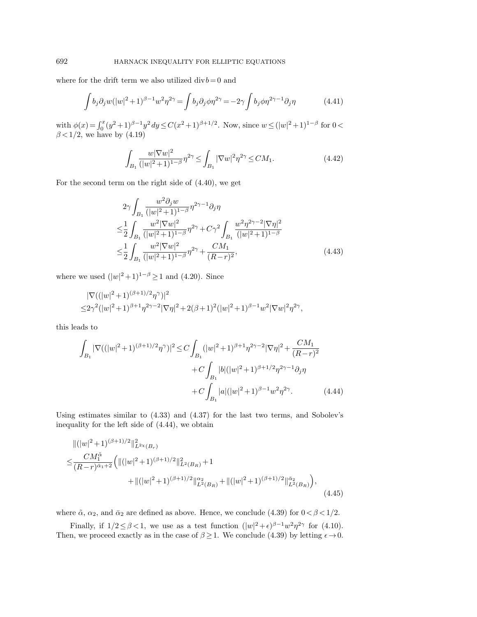where for the drift term we also utilized  $\mathrm{div} \, b\!=\!0$  and

$$
\int b_j \partial_j w(|w|^2 + 1)^{\beta - 1} w^2 \eta^{2\gamma} = \int b_j \partial_j \phi \eta^{2\gamma} = -2\gamma \int b_j \phi \eta^{2\gamma - 1} \partial_j \eta \tag{4.41}
$$

with  $\phi(x) = \int_0^x (y^2 + 1)^{\beta - 1} y^2 dy \leq C(x^2 + 1)^{\beta + 1/2}$ . Now, since  $w \leq (|w|^2 + 1)^{1-\beta}$  for  $0 <$  $\beta$  < 1/2, we have by (4.19)

$$
\int_{B_1} \frac{w|\nabla w|^2}{(|w|^2 + 1)^{1-\beta}} \eta^{2\gamma} \le \int_{B_1} |\nabla w|^2 \eta^{2\gamma} \le CM_1.
$$
\n(4.42)

For the second term on the right side of (4.40), we get

$$
2\gamma \int_{B_1} \frac{w^2 \partial_j w}{(|w|^2 + 1)^{1-\beta}} \eta^{2\gamma - 1} \partial_j \eta
$$
  
\n
$$
\leq \frac{1}{2} \int_{B_1} \frac{w^2 |\nabla w|^2}{(|w|^2 + 1)^{1-\beta}} \eta^{2\gamma} + C\gamma^2 \int_{B_1} \frac{w^2 \eta^{2\gamma - 2} |\nabla \eta|^2}{(|w|^2 + 1)^{1-\beta}}
$$
  
\n
$$
\leq \frac{1}{2} \int_{B_1} \frac{w^2 |\nabla w|^2}{(|w|^2 + 1)^{1-\beta}} \eta^{2\gamma} + \frac{CM_1}{(R - r)^2},
$$
\n(4.43)

where we used  $(|w|^2+1)^{1-\beta} \geq 1$  and  $(4.20)$ . Since

$$
\begin{aligned} &|\nabla((|w|^2+1)^{(\beta+1)/2}\eta^\gamma)|^2\\ \leq& 2\gamma^2(|w|^2+1)^{\beta+1}\eta^{2\gamma-2}|\nabla\eta|^2+2(\beta+1)^2(|w|^2+1)^{\beta-1}w^2|\nabla w|^2\eta^{2\gamma}, \end{aligned}
$$

this leads to

$$
\int_{B_1} |\nabla ((|w|^2 + 1)^{(\beta + 1)/2} \eta^{\gamma})|^2 \le C \int_{B_1} (|w|^2 + 1)^{\beta + 1} \eta^{2\gamma - 2} |\nabla \eta|^2 + \frac{CM_1}{(R - r)^2} \n+ C \int_{B_1} |b| (|w|^2 + 1)^{\beta + 1/2} \eta^{2\gamma - 1} \partial_j \eta \n+ C \int_{B_1} |a| (|w|^2 + 1)^{\beta - 1} w^2 \eta^{2\gamma}.
$$
\n(4.44)

Using estimates similar to (4.33) and (4.37) for the last two terms, and Sobolev's inequality for the left side of (4.44), we obtain

$$
\|(|w|^2+1)^{(\beta+1)/2}\|_{L^{2\chi}(B_r)}^2
$$
  
\n
$$
\leq \frac{CM_1^{\tilde{\alpha}}}{(R-r)^{\tilde{\alpha}_1+2}} \Big( \|(|w|^2+1)^{(\beta+1)/2} \|_{L^2(B_R)}^2 + 1 + \|(|w|^2+1)^{(\beta+1)/2} \|_{L^2(B_R)}^{\tilde{\alpha}_2} + \|(|w|^2+1)^{(\beta+1)/2} \|_{L^2(B_R)}^{\tilde{\alpha}_2} \Big),
$$
\n(4.45)

where  $\tilde{\alpha}$ ,  $\alpha_2$ , and  $\bar{\alpha}_2$  are defined as above. Hence, we conclude (4.39) for  $0 < \beta < 1/2$ .

Finally, if  $1/2 \leq \beta < 1$ , we use as a test function  $(|w|^2 + \epsilon)^{\beta - 1} w^2 \eta^{2\gamma}$  for (4.10). Then, we proceed exactly as in the case of  $\beta \geq 1$ . We conclude (4.39) by letting  $\epsilon \to 0$ .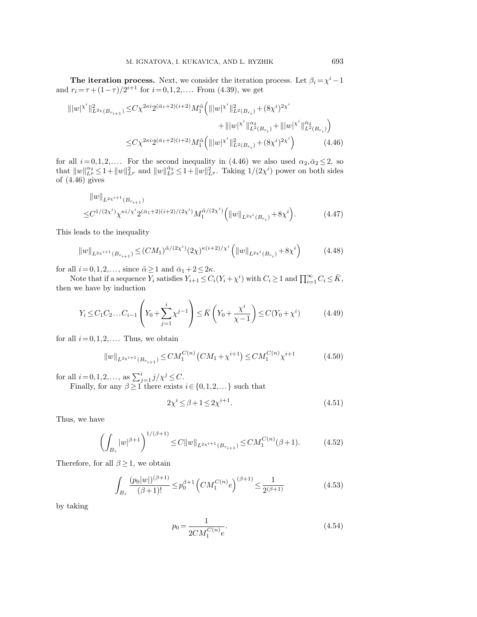The iteration process. Next, we consider the iteration process. Let  $\beta_i = \chi^i - 1$ and  $r_i = \tau + (1 - \tau)/2^{i+1}$  for  $i = 0, 1, 2, \dots$  From (4.39), we get

$$
\| |w|^{\chi^i} \|_{L^{2\chi}(B_{r_{i+1}})}^2 \leq C\chi^{2\kappa i} 2^{(\bar{\alpha}_1+2)(i+2)} M_1^{\tilde{\alpha}} \Big( \| |w|^{\chi^i} \|_{L^2(B_{r_i})}^2 + (8\chi^i)^{2\chi^i} + \| |w|^{\chi^i} \|_{L^2(B_{r_i})}^{\bar{\alpha}_2} + \| |w|^{\chi^i} \|_{L^2(B_{r_i})}^{\bar{\alpha}_2} \Big)
$$
  

$$
\leq C\chi^{2\kappa i} 2^{(\bar{\alpha}_1+2)(i+2)} M_1^{\tilde{\alpha}} \Big( \| |w|^{\chi^i} \|_{L^2(B_{r_i})}^2 + (8\chi^i)^{2\chi^i} \Big) \tag{4.46}
$$

for all  $i=0,1,2,...$  For the second inequality in (4.46) we also used  $\alpha_2,\bar{\alpha}_2\leq 2$ , so that  $||w||_{L^p}^{\alpha_2} \leq 1 + ||w||_{L^p}^2$  and  $||w||_{L^p}^{\bar{\alpha}_2} \leq 1 + ||w||_{L^p}^2$ . Taking  $1/(2\chi^i)$  power on both sides of (4.46) gives

$$
||w||_{L^{2\chi^{i+1}}(B_{r_{i+1}})}
$$
  
\n
$$
\leq C^{1/(2\chi^{i})} \chi^{\kappa i/\chi^{i}} 2^{(\bar{\alpha}_{1}+2)(i+2)/(2\chi^{i})} M_{1}^{\tilde{\alpha}/(2\chi^{i})} (||w||_{L^{2\chi^{i}}(B_{r_{i}})} + 8\chi^{i}).
$$
\n(4.47)

This leads to the inequality

$$
||w||_{L^{2\chi^{i+1}}(B_{r_{i+1}})} \le (CM_1)^{\tilde{\alpha}/(2\chi^{i})} (2\chi)^{\kappa(i+2)/\chi^{i}} \left(||w||_{L^{2\chi^{i}}(B_{r_i})} + 8\chi^{i}\right)
$$
(4.48)

for all  $i= 0,1,2,\ldots,$  since  $\tilde{\alpha} \geq 1$  and  $\bar{\alpha}_1 + 2 \leq 2\kappa$ .

Note that if a sequence  $Y_i$  satisfies  $Y_{i+1} \leq C_i(Y_i + \chi^i)$  with  $C_i \geq 1$  and  $\prod_{i=1}^{\infty} C_i \leq \bar{K}$ , then we have by induction

$$
Y_i \le C_1 C_2 \dots C_{i-1} \left( Y_0 + \sum_{j=1}^i \chi^{j-1} \right) \le \bar{K} \left( Y_0 + \frac{\chi^i}{\chi - 1} \right) \le C(Y_0 + \chi^i)
$$
(4.49)

for all  $i = 0, 1, 2, \ldots$  Thus, we obtain

$$
||w||_{L^{2\chi^{i+1}}(B_{r_{i+1}})} \le CM_1^{C(n)}\left(CM_1 + \chi^{i+1}\right) \le CM_1^{C(n)}\chi^{i+1}
$$
\n(4.50)

for all  $i = 0, 1, 2, ...,$  as  $\sum_{j=1}^{i} j/\chi^{j} \leq C$ .

Finally, for any  $\beta \geq 1$  there exists  $i \in \{0,1,2,...\}$  such that

$$
2\chi^i \le \beta + 1 \le 2\chi^{i+1}.\tag{4.51}
$$

Thus, we have

$$
\left(\int_{B_{\tau}}|w|^{\beta+1}\right)^{1/(\beta+1)} \leq C\|w\|_{L^{2\chi^{i+1}}(B_{r_{i+1}})} \leq CM_1^{C(n)}(\beta+1). \tag{4.52}
$$

Therefore, for all  $\beta \geq 1$ , we obtain

$$
\int_{B_{\tau}} \frac{(p_0|w|)^{(\beta+1)}}{(\beta+1)!} \le p_0^{\beta+1} \left(CM_1^{C(n)}e\right)^{(\beta+1)} \le \frac{1}{2^{(\beta+1)}}\tag{4.53}
$$

by taking

$$
p_0 = \frac{1}{2CM_1^{C(n)}e}.\tag{4.54}
$$